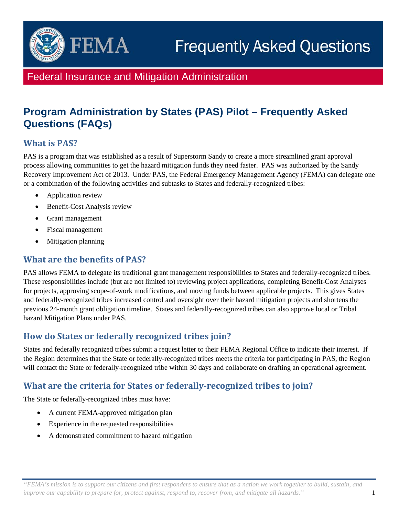

# Federal Insurance and Mitigation Administration

# **Program Administration by States (PAS) Pilot – Frequently Asked Questions (FAQs)**

# **What is PAS?**

PAS is a program that was established as a result of Superstorm Sandy to create a more streamlined grant approval process allowing communities to get the hazard mitigation funds they need faster. PAS was authorized by the Sandy Recovery Improvement Act of 2013. Under PAS, the Federal Emergency Management Agency (FEMA) can delegate one or a combination of the following activities and subtasks to States and federally-recognized tribes:

- Application review
- Benefit-Cost Analysis review
- Grant management
- Fiscal management
- Mitigation planning

#### **What are the benefits of PAS?**

PAS allows FEMA to delegate its traditional grant management responsibilities to States and federally-recognized tribes. These responsibilities include (but are not limited to) reviewing project applications, completing Benefit-Cost Analyses for projects, approving scope-of-work modifications, and moving funds between applicable projects. This gives States and federally-recognized tribes increased control and oversight over their hazard mitigation projects and shortens the previous 24-month grant obligation timeline. States and federally-recognized tribes can also approve local or Tribal hazard Mitigation Plans under PAS.

#### **How do States or federally recognized tribes join?**

States and federally recognized tribes submit a request letter to their FEMA Regional Office to indicate their interest. If the Region determines that the State or federally-recognized tribes meets the criteria for participating in PAS, the Region will contact the State or federally-recognized tribe within 30 days and collaborate on drafting an operational agreement.

# **What are the criteria for States or federally-recognized tribes to join?**

The State or federally-recognized tribes must have:

- A current FEMA-approved mitigation plan
- Experience in the requested responsibilities
- A demonstrated commitment to hazard mitigation